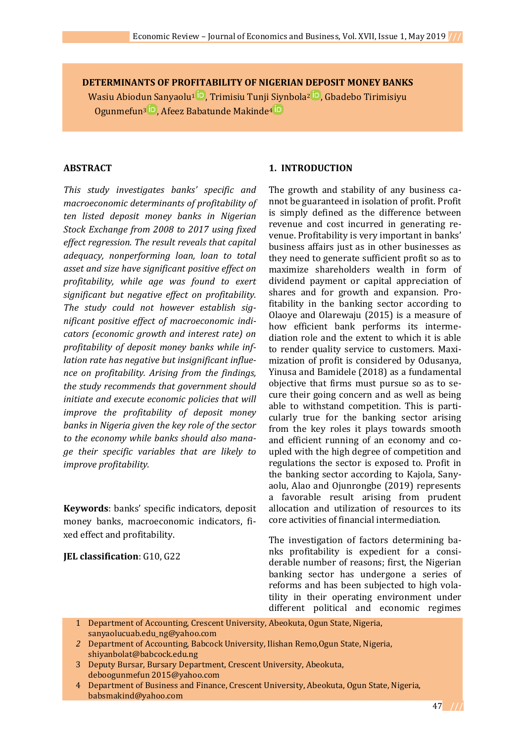**DETERMINANTS OF PROFITABILITY OF NIGERIAN DEPOSIT MONEY BANKS** Wasiu Abiodu[n Sanyaolu](https://orcid.org/0000-0002-0695-1961)<sup>1 in</sup>, Trimisiu Tunj[i Siynbola](https://orcid.org/0000-0003-0392-3022)<sup>2 in</sup>, Gbadebo Tirimisiyu Ogunmefun<sup>3</sup> D, Afeez Babatunde Makinde<sup>4</sup> D

### **ABSTRACT**

*This study investigates banks' specific and macroeconomic determinants of profitability of ten listed deposit money banks in Nigerian Stock Exchange from 2008 to 2017 using fixed effect regression. The result reveals that capital adequacy, nonperforming loan, loan to total asset and size have significant positive effect on profitability, while age was found to exert significant but negative effect on profitability. The study could not however establish significant positive effect of macroeconomic indicators (economic growth and interest rate) on profitability of deposit money banks while inflation rate has negative but insignificant influence on profitability. Arising from the findings, the study recommends that government should initiate and execute economic policies that will improve the profitability of deposit money banks in Nigeria given the key role of the sector to the economy while banks should also manage their specific variables that are likely to improve profitability.* 

**Keywords**: banks' specific indicators, deposit money banks, macroeconomic indicators, fixed effect and profitability.

**JEL classification**: G10, G22

### **1. INTRODUCTION**

The growth and stability of any business cannot be guaranteed in isolation of profit. Profit is simply defined as the difference between revenue and cost incurred in generating revenue. Profitability is very important in banks' business affairs just as in other businesses as they need to generate sufficient profit so as to maximize shareholders wealth in form of dividend payment or capital appreciation of shares and for growth and expansion. Profitability in the banking sector according to Olaoye and Olarewaju (2015) is a measure of how efficient bank performs its intermediation role and the extent to which it is able to render quality service to customers. Maximization of profit is considered by Odusanya, Yinusa and Bamidele (2018) as a fundamental objective that firms must pursue so as to secure their going concern and as well as being able to withstand competition. This is particularly true for the banking sector arising from the key roles it plays towards smooth and efficient running of an economy and coupled with the high degree of competition and regulations the sector is exposed to. Profit in the banking sector according to Kajola, Sanyaolu, Alao and Ojunrongbe (2019) represents a favorable result arising from prudent allocation and utilization of resources to its core activities of financial intermediation.

The investigation of factors determining banks profitability is expedient for a considerable number of reasons; first, the Nigerian banking sector has undergone a series of reforms and has been subjected to high volatility in their operating environment under different political and economic regimes

- 1 Department of Accounting, Crescent University, Abeokuta, Ogun State, Nigeria, [sanyaolucuab.edu\\_ng@yahoo.com](mailto:sanyaolucuab.edu_ng@yahoo.com)
- *2* Department of Accounting, Babcock University, Ilishan Remo,Ogun State, Nigeria, [shiyanbolat@babcock.edu.ng](mailto:shiyanbolat@babcock.edu.ng)
- 3 Deputy Bursar, Bursary Department, Crescent University, Abeokuta, [deboogunmefun 2015@yahoo.com](mailto:deboogunmefun%202015@yahoo.com)
- 4 Department of Business and Finance, Crescent University, Abeokuta, Ogun State, Nigeria, [babsmakind@yahoo.com](mailto:babsmakind@yahoo.com)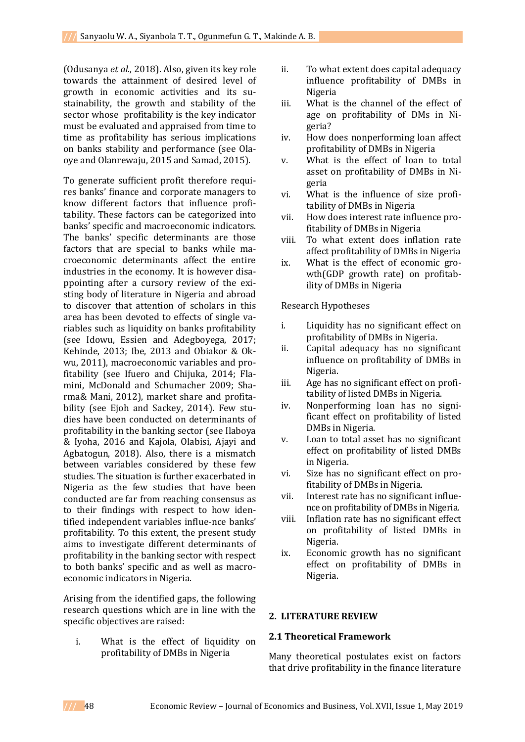(Odusanya *et al*., 2018). Also, given its key role towards the attainment of desired level of growth in economic activities and its sustainability, the growth and stability of the sector whose profitability is the key indicator must be evaluated and appraised from time to time as profitability has serious implications on banks stability and performance (see Olaoye and Olanrewaju, 2015 and Samad, 2015).

To generate sufficient profit therefore requires banks' finance and corporate managers to know different factors that influence profitability. These factors can be categorized into banks' specific and macroeconomic indicators. The banks' specific determinants are those factors that are special to banks while macroeconomic determinants affect the entire industries in the economy. It is however disappointing after a cursory review of the existing body of literature in Nigeria and abroad to discover that attention of scholars in this area has been devoted to effects of single variables such as liquidity on banks profitability (see Idowu, Essien and Adegboyega, 2017; Kehinde, 2013; Ibe, 2013 and Obiakor & Okwu, 2011), macroeconomic variables and profitability (see Ifuero and Chijuka, 2014; Flamini, McDonald and Schumacher 2009; Sharma& Mani, 2012), market share and profitability (see Ejoh and Sackey, 2014). Few studies have been conducted on determinants of profitability in the banking sector (see Ilaboya & Iyoha, 2016 and Kajola, Olabisi, Ajayi and Agbatogun, 2018). Also, there is a mismatch between variables considered by these few studies. The situation is further exacerbated in Nigeria as the few studies that have been conducted are far from reaching consensus as to their findings with respect to how identified independent variables influe-nce banks' profitability. To this extent, the present study aims to investigate different determinants of profitability in the banking sector with respect to both banks' specific and as well as macroeconomic indicators in Nigeria.

Arising from the identified gaps, the following research questions which are in line with the specific objectives are raised:

i. What is the effect of liquidity on profitability of DMBs in Nigeria

- ii. To what extent does capital adequacy influence profitability of DMBs in Nigeria
- iii. What is the channel of the effect of age on profitability of DMs in Nigeria?
- iv. How does nonperforming loan affect profitability of DMBs in Nigeria
- v. What is the effect of loan to total asset on profitability of DMBs in Nigeria
- vi. What is the influence of size profitability of DMBs in Nigeria
- vii. How does interest rate influence profitability of DMBs in Nigeria
- viii. To what extent does inflation rate affect profitability of DMBs in Nigeria
- ix. What is the effect of economic growth(GDP growth rate) on profitability of DMBs in Nigeria

Research Hypotheses

- i. Liquidity has no significant effect on profitability of DMBs in Nigeria.
- ii. Capital adequacy has no significant influence on profitability of DMBs in Nigeria.
- iii. Age has no significant effect on profitability of listed DMBs in Nigeria.
- iv. Nonperforming loan has no significant effect on profitability of listed DMBs in Nigeria.
- v. Loan to total asset has no significant effect on profitability of listed DMBs in Nigeria.
- vi. Size has no significant effect on profitability of DMBs in Nigeria.
- vii. Interest rate has no significant influence on profitability of DMBs in Nigeria.
- viii. Inflation rate has no significant effect on profitability of listed DMBs in Nigeria.
- ix. Economic growth has no significant effect on profitability of DMBs in Nigeria.

### **2. LITERATURE REVIEW**

### **2.1 Theoretical Framework**

Many theoretical postulates exist on factors that drive profitability in the finance literature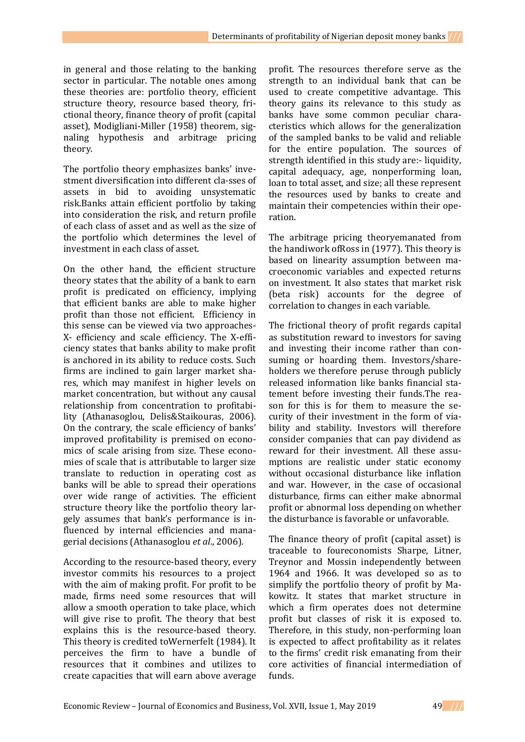in general and those relating to the banking sector in particular. The notable ones among these theories are: portfolio theory, efficient structure theory, resource based theory, frictional theory, finance theory of profit (capital asset), Modigliani-Miller (1958) theorem, signaling hypothesis and arbitrage pricing theory.

The portfolio theory emphasizes banks' investment diversification into different cla-sses of assets in bid to avoiding unsystematic risk.Banks attain efficient portfolio by taking into consideration the risk, and return profile of each class of asset and as well as the size of the portfolio which determines the level of investment in each class of asset.

On the other hand, the efficient structure theory states that the ability of a bank to earn profit is predicated on efficiency, implying that efficient banks are able to make higher profit than those not efficient. Efficiency in this sense can be viewed via two approaches-X- efficiency and scale efficiency. The X-efficiency states that banks ability to make profit is anchored in its ability to reduce costs. Such firms are inclined to gain larger market shares, which may manifest in higher levels on market concentration, but without any causal relationship from concentration to profitability (Athanasoglou, Delis&Staikouras, 2006). On the contrary, the scale efficiency of banks' improved profitability is premised on economics of scale arising from size. These economies of scale that is attributable to larger size translate to reduction in operating cost as banks will be able to spread their operations over wide range of activities. The efficient structure theory like the portfolio theory largely assumes that bank's performance is influenced by internal efficiencies and managerial decisions (Athanasoglou *et al*., 2006).

According to the resource-based theory, every investor commits his resources to a project with the aim of making profit. For profit to be made, firms need some resources that will allow a smooth operation to take place, which will give rise to profit. The theory that best explains this is the resource-based theory. This theory is credited toWernerfelt (1984). It perceives the firm to have a bundle of resources that it combines and utilizes to create capacities that will earn above average

profit. The resources therefore serve as the strength to an individual bank that can be used to create competitive advantage. This theory gains its relevance to this study as banks have some common peculiar characteristics which allows for the generalization of the sampled banks to be valid and reliable for the entire population. The sources of strength identified in this study are:- liquidity, capital adequacy, age, nonperforming loan, loan to total asset, and size; all these represent the resources used by banks to create and maintain their competencies within their operation.

The arbitrage pricing theoryemanated from the handiwork ofRoss in (1977). This theory is based on linearity assumption between macroeconomic variables and expected returns on investment. It also states that market risk (beta risk) accounts for the degree of correlation to changes in each variable.

The frictional theory of profit regards capital as substitution reward to investors for saving and investing their income rather than consuming or hoarding them. Investors/shareholders we therefore peruse through publicly released information like banks financial statement before investing their funds.The reason for this is for them to measure the security of their investment in the form of viability and stability. Investors will therefore consider companies that can pay dividend as reward for their investment. All these assumptions are realistic under static economy without occasional disturbance like inflation and war. However, in the case of occasional disturbance, firms can either make abnormal profit or abnormal loss depending on whether the disturbance is favorable or unfavorable.

The finance theory of profit (capital asset) is traceable to foureconomists Sharpe, Litner, Treynor and Mossin independently between 1964 and 1966. It was developed so as to simplify the portfolio theory of profit by Makowitz. It states that market structure in which a firm operates does not determine profit but classes of risk it is exposed to. Therefore, in this study, non-performing loan is expected to affect profitability as it relates to the firms' credit risk emanating from their core activities of financial intermediation of funds.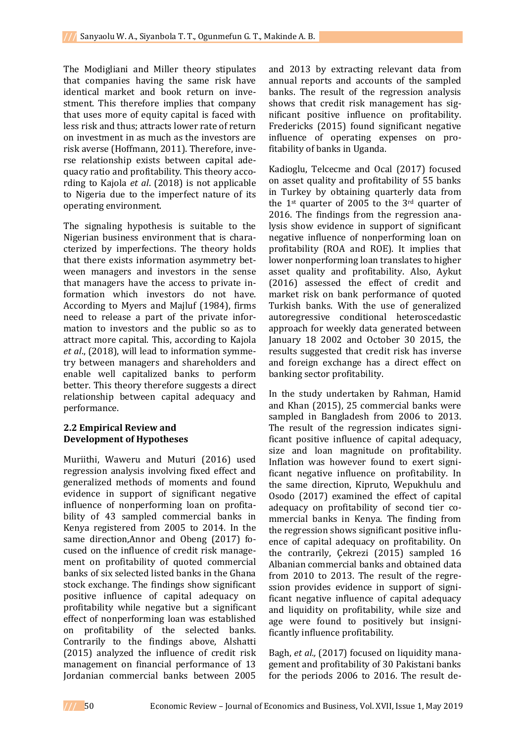The Modigliani and Miller theory stipulates that companies having the same risk have identical market and book return on investment. This therefore implies that company that uses more of equity capital is faced with less risk and thus; attracts lower rate of return on investment in as much as the investors are risk averse (Hoffmann, 2011). Therefore, inverse relationship exists between capital adequacy ratio and profitability. This theory according to Kajola *et al*. (2018) is not applicable to Nigeria due to the imperfect nature of its operating environment.

The signaling hypothesis is suitable to the Nigerian business environment that is characterized by imperfections. The theory holds that there exists information asymmetry between managers and investors in the sense that managers have the access to private information which investors do not have. According to Myers and Majluf (1984), firms need to release a part of the private information to investors and the public so as to attract more capital. This, according to Kajola *et al*., (2018), will lead to information symmetry between managers and shareholders and enable well capitalized banks to perform better. This theory therefore suggests a direct relationship between capital adequacy and performance.

# **2.2 Empirical Review and Development of Hypotheses**

Muriithi, Waweru and Muturi (2016) used regression analysis involving fixed effect and generalized methods of moments and found evidence in support of significant negative influence of nonperforming loan on profitability of 43 sampled commercial banks in Kenya registered from 2005 to 2014. In the same direction,Annor and Obeng (2017) focused on the influence of credit risk management on profitability of quoted commercial banks of six selected listed banks in the Ghana stock exchange. The findings show significant positive influence of capital adequacy on profitability while negative but a significant effect of nonperforming loan was established on profitability of the selected banks. Contrarily to the findings above, Alshatti (2015) analyzed the influence of credit risk management on financial performance of 13 Jordanian commercial banks between 2005

and 2013 by extracting relevant data from annual reports and accounts of the sampled banks. The result of the regression analysis shows that credit risk management has significant positive influence on profitability. Fredericks (2015) found significant negative influence of operating expenses on profitability of banks in Uganda.

Kadioglu, Telcecme and Ocal (2017) focused on asset quality and profitability of 55 banks in Turkey by obtaining quarterly data from the 1st quarter of 2005 to the 3rd quarter of 2016. The findings from the regression analysis show evidence in support of significant negative influence of nonperforming loan on profitability (ROA and ROE). It implies that lower nonperforming loan translates to higher asset quality and profitability. Also, Aykut (2016) assessed the effect of credit and market risk on bank performance of quoted Turkish banks. With the use of generalized autoregressive conditional heteroscedastic approach for weekly data generated between January 18 2002 and October 30 2015, the results suggested that credit risk has inverse and foreign exchange has a direct effect on banking sector profitability.

In the study undertaken by Rahman, Hamid and Khan (2015), 25 commercial banks were sampled in Bangladesh from 2006 to 2013. The result of the regression indicates significant positive influence of capital adequacy, size and loan magnitude on profitability. Inflation was however found to exert significant negative influence on profitability. In the same direction, Kipruto, Wepukhulu and Osodo (2017) examined the effect of capital adequacy on profitability of second tier commercial banks in Kenya. The finding from the regression shows significant positive influence of capital adequacy on profitability. On the contrarily, Çekrezi (2015) sampled 16 Albanian commercial banks and obtained data from 2010 to 2013. The result of the regression provides evidence in support of significant negative influence of capital adequacy and liquidity on profitability, while size and age were found to positively but insignificantly influence profitability.

Bagh, *et al.,* (2017) focused on liquidity management and profitability of 30 Pakistani banks for the periods 2006 to 2016. The result de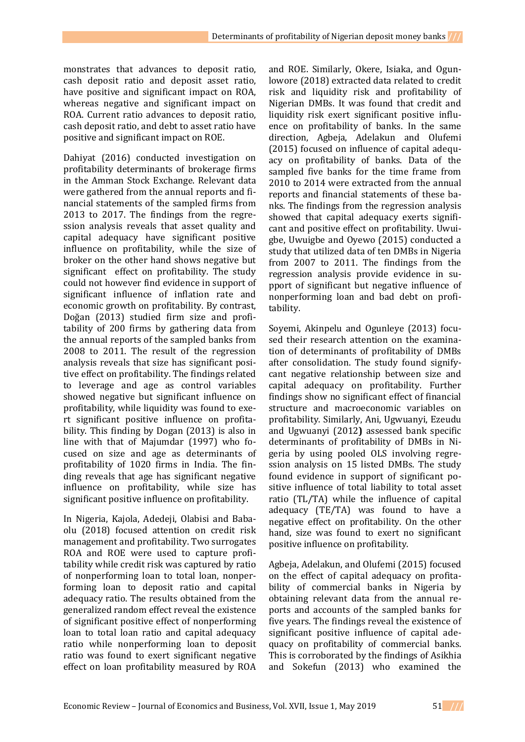monstrates that advances to deposit ratio, cash deposit ratio and deposit asset ratio, have positive and significant impact on ROA, whereas negative and significant impact on ROA. Current ratio advances to deposit ratio, cash deposit ratio, and debt to asset ratio have positive and significant impact on ROE.

Dahiyat (2016) conducted investigation on profitability determinants of brokerage firms in the Amman Stock Exchange. Relevant data were gathered from the annual reports and financial statements of the sampled firms from 2013 to 2017. The findings from the regression analysis reveals that asset quality and capital adequacy have significant positive influence on profitability, while the size of broker on the other hand shows negative but significant effect on profitability. The study could not however find evidence in support of significant influence of inflation rate and economic growth on profitability. By contrast, Doğan (2013) studied firm size and profitability of 200 firms by gathering data from the annual reports of the sampled banks from 2008 to 2011. The result of the regression analysis reveals that size has significant positive effect on profitability. The findings related to leverage and age as control variables showed negative but significant influence on profitability, while liquidity was found to exert significant positive influence on profitability. This finding by Dogan (2013) is also in line with that of Majumdar (1997) who focused on size and age as determinants of profitability of 1020 firms in India. The finding reveals that age has significant negative influence on profitability, while size has significant positive influence on profitability.

In Nigeria, Kajola, Adedeji, Olabisi and Babaolu (2018) focused attention on credit risk management and profitability. Two surrogates ROA and ROE were used to capture profitability while credit risk was captured by ratio of nonperforming loan to total loan, nonperforming loan to deposit ratio and capital adequacy ratio. The results obtained from the generalized random effect reveal the existence of significant positive effect of nonperforming loan to total loan ratio and capital adequacy ratio while nonperforming loan to deposit ratio was found to exert significant negative effect on loan profitability measured by ROA

and ROE. Similarly, Okere, Isiaka, and Ogunlowore (2018) extracted data related to credit risk and liquidity risk and profitability of Nigerian DMBs. It was found that credit and liquidity risk exert significant positive influence on profitability of banks. In the same direction, Agbeja, Adelakun and Olufemi (2015) focused on influence of capital adequacy on profitability of banks. Data of the sampled five banks for the time frame from 2010 to 2014 were extracted from the annual reports and financial statements of these banks. The findings from the regression analysis showed that capital adequacy exerts significant and positive effect on profitability. Uwuigbe, Uwuigbe and Oyewo (2015) conducted a study that utilized data of ten DMBs in Nigeria from 2007 to 2011. The findings from the regression analysis provide evidence in support of significant but negative influence of nonperforming loan and bad debt on profitability.

Soyemi, Akinpelu and Ogunleye (2013) focused their research attention on the examination of determinants of profitability of DMBs after consolidation. The study found signifycant negative relationship between size and capital adequacy on profitability. Further findings show no significant effect of financial structure and macroeconomic variables on profitability. Similarly, Ani, Ugwuanyi, Ezeudu and Ugwuanyi (2012**)** assessed bank specific determinants of profitability of DMBs in Nigeria by using pooled OLS involving regression analysis on 15 listed DMBs. The study found evidence in support of significant positive influence of total liability to total asset ratio (TL/TA) while the influence of capital adequacy (TE/TA) was found to have a negative effect on profitability. On the other hand, size was found to exert no significant positive influence on profitability.

Agbeja, Adelakun, and Olufemi (2015) focused on the effect of capital adequacy on profitability of commercial banks in Nigeria by obtaining relevant data from the annual reports and accounts of the sampled banks for five years. The findings reveal the existence of significant positive influence of capital adequacy on profitability of commercial banks. This is corroborated by the findings of Asikhia and Sokefun (2013) who examined the

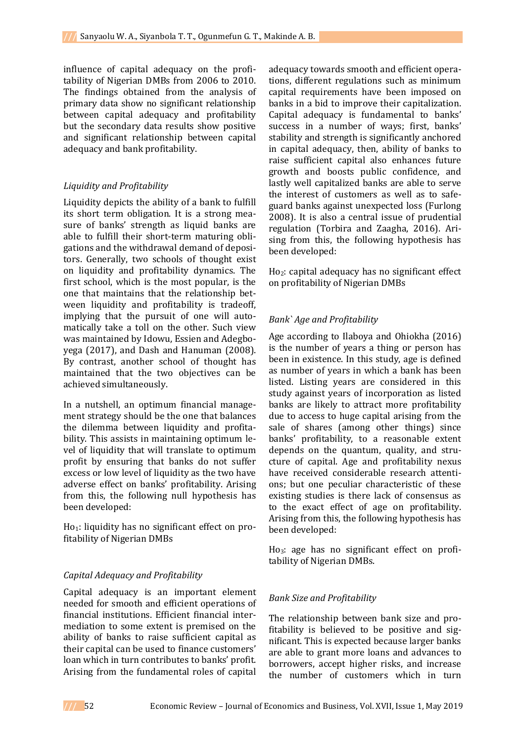influence of capital adequacy on the profitability of Nigerian DMBs from 2006 to 2010. The findings obtained from the analysis of primary data show no significant relationship between capital adequacy and profitability but the secondary data results show positive and significant relationship between capital adequacy and bank profitability.

## *Liquidity and Profitability*

Liquidity depicts the ability of a bank to fulfill its short term obligation. It is a strong measure of banks' strength as liquid banks are able to fulfill their short-term maturing obligations and the withdrawal demand of depositors. Generally, two schools of thought exist on liquidity and profitability dynamics. The first school, which is the most popular, is the one that maintains that the relationship between liquidity and profitability is tradeoff, implying that the pursuit of one will automatically take a toll on the other. Such view was maintained by Idowu, Essien and Adegboyega (2017), and Dash and Hanuman (2008). By contrast, another school of thought has maintained that the two objectives can be achieved simultaneously.

In a nutshell, an optimum financial management strategy should be the one that balances the dilemma between liquidity and profitability. This assists in maintaining optimum level of liquidity that will translate to optimum profit by ensuring that banks do not suffer excess or low level of liquidity as the two have adverse effect on banks' profitability. Arising from this, the following null hypothesis has been developed:

Ho<sub>1</sub>: liquidity has no significant effect on profitability of Nigerian DMBs

# *Capital Adequacy and Profitability*

Capital adequacy is an important element needed for smooth and efficient operations of financial institutions. Efficient financial intermediation to some extent is premised on the ability of banks to raise sufficient capital as their capital can be used to finance customers' loan which in turn contributes to banks' profit. Arising from the fundamental roles of capital

adequacy towards smooth and efficient operations, different regulations such as minimum capital requirements have been imposed on banks in a bid to improve their capitalization. Capital adequacy is fundamental to banks' success in a number of ways; first, banks' stability and strength is significantly anchored in capital adequacy, then, ability of banks to raise sufficient capital also enhances future growth and boosts public confidence, and lastly well capitalized banks are able to serve the interest of customers as well as to safeguard banks against unexpected loss (Furlong 2008). It is also a central issue of prudential regulation (Torbira and Zaagha, 2016). Arising from this, the following hypothesis has been developed:

Ho2: capital adequacy has no significant effect on profitability of Nigerian DMBs

# *Bank` Age and Profitability*

Age according to Ilaboya and Ohiokha (2016) is the number of years a thing or person has been in existence. In this study, age is defined as number of years in which a bank has been listed. Listing years are considered in this study against years of incorporation as listed banks are likely to attract more profitability due to access to huge capital arising from the sale of shares (among other things) since banks' profitability, to a reasonable extent depends on the quantum, quality, and structure of capital. Age and profitability nexus have received considerable research attentions; but one peculiar characteristic of these existing studies is there lack of consensus as to the exact effect of age on profitability. Arising from this, the following hypothesis has been developed:

Ho3: age has no significant effect on profitability of Nigerian DMBs.

# *Bank Size and Profitability*

The relationship between bank size and profitability is believed to be positive and significant. This is expected because larger banks are able to grant more loans and advances to borrowers, accept higher risks, and increase the number of customers which in turn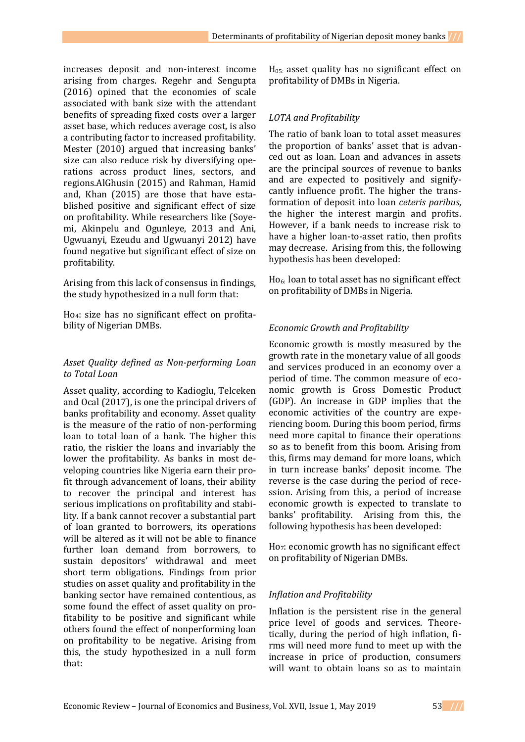increases deposit and non-interest income arising from charges. Regehr and Sengupta (2016) opined that the economies of scale associated with bank size with the attendant benefits of spreading fixed costs over a larger asset base, which reduces average cost, is also a contributing factor to increased profitability. Mester (2010) argued that increasing banks' size can also reduce risk by diversifying operations across product lines, sectors, and regions.AlGhusin (2015) and Rahman, Hamid and, Khan (2015) are those that have established positive and significant effect of size on profitability. While researchers like (Soyemi, Akinpelu and Ogunleye, 2013 and Ani, Ugwuanyi, Ezeudu and Ugwuanyi 2012) have found negative but significant effect of size on profitability.

Arising from this lack of consensus in findings, the study hypothesized in a null form that:

Ho4: size has no significant effect on profitability of Nigerian DMBs.

## *Asset Quality defined as Non-performing Loan to Total Loan*

Asset quality, according to Kadioglu, Telceken and Ocal (2017), is one the principal drivers of banks profitability and economy. Asset quality is the measure of the ratio of non-performing loan to total loan of a bank. The higher this ratio, the riskier the loans and invariably the lower the profitability. As banks in most developing countries like Nigeria earn their profit through advancement of loans, their ability to recover the principal and interest has serious implications on profitability and stability. If a bank cannot recover a substantial part of loan granted to borrowers, its operations will be altered as it will not be able to finance further loan demand from borrowers, to sustain depositors' withdrawal and meet short term obligations. Findings from prior studies on asset quality and profitability in the banking sector have remained contentious, as some found the effect of asset quality on profitability to be positive and significant while others found the effect of nonperforming loan on profitability to be negative. Arising from this, the study hypothesized in a null form that:

 $H<sub>05</sub>$  asset quality has no significant effect on profitability of DMBs in Nigeria.

## *LOTA and Profitability*

The ratio of bank loan to total asset measures the proportion of banks' asset that is advanced out as loan. Loan and advances in assets are the principal sources of revenue to banks and are expected to positively and signifycantly influence profit. The higher the transformation of deposit into loan *ceteris paribus*, the higher the interest margin and profits. However, if a bank needs to increase risk to have a higher loan-to-asset ratio, then profits may decrease. Arising from this, the following hypothesis has been developed:

Ho6: loan to total asset has no significant effect on profitability of DMBs in Nigeria.

# *Economic Growth and Profitability*

Economic growth is mostly measured by the growth rate in the monetary value of all goods and services produced in an economy over a period of time. The common measure of economic growth is Gross Domestic Product (GDP). An increase in GDP implies that the economic activities of the country are experiencing boom. During this boom period, firms need more capital to finance their operations so as to benefit from this boom. Arising from this, firms may demand for more loans, which in turn increase banks' deposit income. The reverse is the case during the period of recession. Arising from this, a period of increase economic growth is expected to translate to banks' profitability. Arising from this, the following hypothesis has been developed:

Ho7: economic growth has no significant effect on profitability of Nigerian DMBs.

# *Inflation and Profitability*

Inflation is the persistent rise in the general price level of goods and services. Theoretically, during the period of high inflation, firms will need more fund to meet up with the increase in price of production, consumers will want to obtain loans so as to maintain

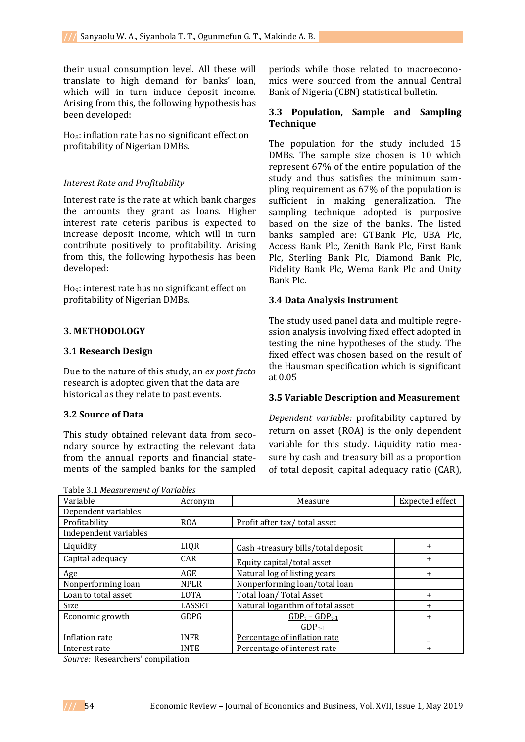their usual consumption level. All these will translate to high demand for banks' loan, which will in turn induce deposit income. Arising from this, the following hypothesis has been developed:

 $H_0$ : inflation rate has no significant effect on profitability of Nigerian DMBs.

### *Interest Rate and Profitability*

Interest rate is the rate at which bank charges the amounts they grant as loans. Higher interest rate ceteris paribus is expected to increase deposit income, which will in turn contribute positively to profitability. Arising from this, the following hypothesis has been developed:

Ho9: interest rate has no significant effect on profitability of Nigerian DMBs.

### **3. METHODOLOGY**

### **3.1 Research Design**

Due to the nature of this study, an *ex post facto* research is adopted given that the data are historical as they relate to past events.

## **3.2 Source of Data**

This study obtained relevant data from secondary source by extracting the relevant data from the annual reports and financial statements of the sampled banks for the sampled

Table 3.1 *Measurement of Variables*

periods while those related to macroeconomics were sourced from the annual Central Bank of Nigeria (CBN) statistical bulletin.

## **3.3 Population, Sample and Sampling Technique**

The population for the study included 15 DMBs. The sample size chosen is 10 which represent 67% of the entire population of the study and thus satisfies the minimum sampling requirement as 67% of the population is sufficient in making generalization. The sampling technique adopted is purposive based on the size of the banks. The listed banks sampled are: GTBank Plc, UBA Plc, Access Bank Plc, Zenith Bank Plc, First Bank Plc, Sterling Bank Plc, Diamond Bank Plc, Fidelity Bank Plc, Wema Bank Plc and Unity Bank Plc.

### **3.4 Data Analysis Instrument**

The study used panel data and multiple regression analysis involving fixed effect adopted in testing the nine hypotheses of the study. The fixed effect was chosen based on the result of the Hausman specification which is significant at 0.05

### **3.5 Variable Description and Measurement**

*Dependent variable:* profitability captured by return on asset (ROA) is the only dependent variable for this study. Liquidity ratio measure by cash and treasury bill as a proportion of total deposit, capital adequacy ratio (CAR),

| Acronym       | Measure<br>Expected effect         |           |
|---------------|------------------------------------|-----------|
|               |                                    |           |
| <b>ROA</b>    | Profit after tax/total asset       |           |
|               |                                    |           |
| LIQR          | Cash +treasury bills/total deposit | $\ddot{}$ |
| <b>CAR</b>    | Equity capital/total asset         | $\ddot{}$ |
| AGE           | Natural log of listing years       | $\ddot{}$ |
| <b>NPLR</b>   | Nonperforming loan/total loan      |           |
| <b>LOTA</b>   | Total loan/Total Asset             | $+$       |
| <b>LASSET</b> | Natural logarithm of total asset   | $+$       |
| <b>GDPG</b>   | $GDP_t - GDP_{t-1}$                | $+$       |
|               | $GDP_{t-1}$                        |           |
| <b>INFR</b>   | Percentage of inflation rate       |           |
| <b>INTE</b>   | Percentage of interest rate        | $\ddot{}$ |
|               |                                    |           |

*Source:* Researchers' compilation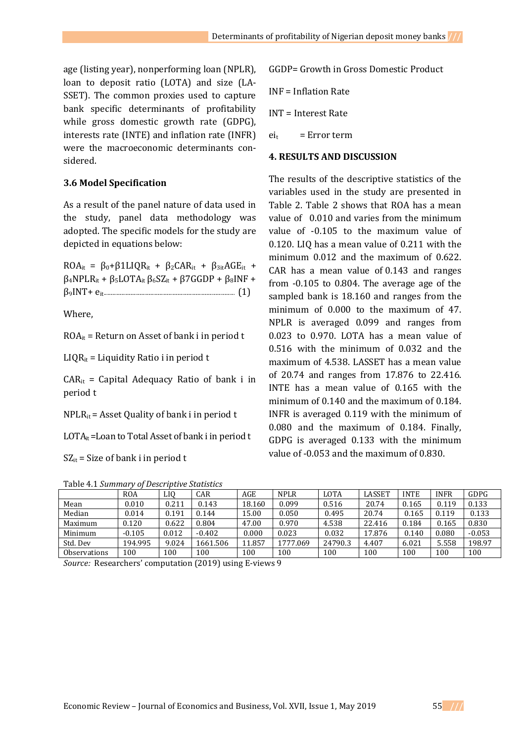age (listing year), nonperforming loan (NPLR), loan to deposit ratio (LOTA) and size (LA-SSET). The common proxies used to capture bank specific determinants of profitability while gross domestic growth rate (GDPG), interests rate (INTE) and inflation rate (INFR) were the macroeconomic determinants considered.

### **3.6 Model Specification**

As a result of the panel nature of data used in the study, panel data methodology was adopted. The specific models for the study are depicted in equations below:

 $ROA_{it} = \beta_0 + \beta 1LIQR_{it} + \beta_2CAR_{it} + \beta_3$ <sub>it</sub>AGE<sub>it</sub> +  $β<sub>4</sub>NPLR<sub>it</sub> + β<sub>5</sub>LOTA<sub>it</sub> β<sub>6</sub>SZ<sub>it</sub> + β7GGDP + β<sub>8</sub>INF +$ β9INT+ eit....................................................................................................... (1)

Where,

 $ROA_{it}$  = Return on Asset of bank i in period t

 $LIQR_{it} = Liquidity Ratio i in period t$ 

 $CAR_{it}$  = Capital Adequacy Ratio of bank i in period t

 $NPLR_{it}$  = Asset Quality of bank i in period t

 $LOTA_{it}$ =Loan to Total Asset of bank i in period t

 $SZ_{it}$  = Size of bank i in period t

Table 4.1 *Summary of Descriptive Statistics*

| GGDP= Growth in Gross Domestic Product |
|----------------------------------------|
| $INF = Inflation Rate$                 |
| INT = Interest Rate                    |
|                                        |

**4. RESULTS AND DISCUSSION** 

 $ei_t$  = Error term

The results of the descriptive statistics of the variables used in the study are presented in Table 2. Table 2 shows that ROA has a mean value of 0.010 and varies from the minimum value of -0.105 to the maximum value of 0.120. LIQ has a mean value of 0.211 with the minimum 0.012 and the maximum of 0.622. CAR has a mean value of 0.143 and ranges from -0.105 to 0.804. The average age of the sampled bank is 18.160 and ranges from the minimum of 0.000 to the maximum of 47. NPLR is averaged 0.099 and ranges from 0.023 to 0.970. LOTA has a mean value of 0.516 with the minimum of 0.032 and the maximum of 4.538. LASSET has a mean value of 20.74 and ranges from 17.876 to 22.416. INTE has a mean value of 0.165 with the minimum of 0.140 and the maximum of 0.184. INFR is averaged 0.119 with the minimum of 0.080 and the maximum of 0.184. Finally, GDPG is averaged 0.133 with the minimum value of -0.053 and the maximum of 0.830.

| Lable 4.1 Summury of Descriptive Stutistics |            |       |          |        |             |             |               |             |             |          |
|---------------------------------------------|------------|-------|----------|--------|-------------|-------------|---------------|-------------|-------------|----------|
|                                             | <b>ROA</b> | LIO   | CAR      | AGE    | <b>NPLR</b> | <b>LOTA</b> | <b>LASSET</b> | <b>INTE</b> | <b>INFR</b> | GDPG     |
| Mean                                        | 0.010      | 0.211 | 0.143    | 18.160 | 0.099       | 0.516       | 20.74         | 0.165       | 0.119       | 0.133    |
| Median                                      | 0.014      | 0.191 | 0.144    | 15.00  | 0.050       | 0.495       | 20.74         | 0.165       | 0.119       | 0.133    |
| Maximum                                     | 0.120      | 0.622 | 0.804    | 47.00  | 0.970       | 4.538       | 22.416        | 0.184       | 0.165       | 0.830    |
| Minimum                                     | $-0.105$   | 0.012 | $-0.402$ | 0.000  | 0.023       | 0.032       | 17.876        | 0.140       | 0.080       | $-0.053$ |
| Std. Dev                                    | 194.995    | 9.024 | 1661.506 | 11.857 | 1777.069    | 24790.3     | 4.407         | 6.021       | 5.558       | 198.97   |
| <b>Observations</b>                         | 100        | 100   | 100      | 100    | 100         | 100         | 100           | 100         | 100         | 100      |

*Source:* Researchers' computation (2019) using E-views 9

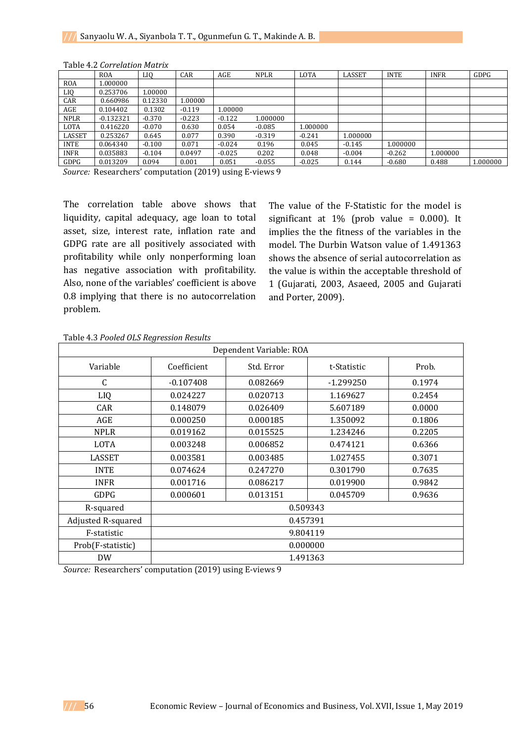|                 | <b>ROA</b>  | LI0      | CAR      | AGE      | <b>NPLR</b> | <b>LOTA</b> | LASSET   | <b>INTE</b> | <b>INFR</b> | GDPG     |
|-----------------|-------------|----------|----------|----------|-------------|-------------|----------|-------------|-------------|----------|
| <b>ROA</b>      | 1.000000    |          |          |          |             |             |          |             |             |          |
| LI <sub>0</sub> | 0.253706    | 1.00000  |          |          |             |             |          |             |             |          |
| CAR             | 0.660986    | 0.12330  | 1.00000  |          |             |             |          |             |             |          |
| AGE             | 0.104402    | 0.1302   | $-0.119$ | 1.00000  |             |             |          |             |             |          |
| <b>NPLR</b>     | $-0.132321$ | $-0.370$ | $-0.223$ | $-0.122$ | 1.000000    |             |          |             |             |          |
| <b>LOTA</b>     | 0.416220    | $-0.070$ | 0.630    | 0.054    | $-0.085$    | 1.000000    |          |             |             |          |
| LASSET          | 0.253267    | 0.645    | 0.077    | 0.390    | $-0.319$    | $-0.241$    | 1.000000 |             |             |          |
| <b>INTE</b>     | 0.064340    | $-0.100$ | 0.071    | $-0.024$ | 0.196       | 0.045       | $-0.145$ | 1.000000    |             |          |
| <b>INFR</b>     | 0.035883    | $-0.104$ | 0.0497   | $-0.025$ | 0.202       | 0.048       | $-0.004$ | $-0.262$    | 1.000000    |          |
| GDPG            | 0.013209    | 0.094    | 0.001    | 0.051    | $-0.055$    | $-0.025$    | 0.144    | $-0.680$    | 0.488       | 1.000000 |

#### Table 4.2 *Correlation Matrix*

*Source:* Researchers' computation (2019) using E-views 9

The correlation table above shows that liquidity, capital adequacy, age loan to total asset, size, interest rate, inflation rate and GDPG rate are all positively associated with profitability while only nonperforming loan has negative association with profitability. Also, none of the variables' coefficient is above 0.8 implying that there is no autocorrelation problem.

The value of the F-Statistic for the model is significant at  $1\%$  (prob value = 0.000). It implies the the fitness of the variables in the model. The Durbin Watson value of 1.491363 shows the absence of serial autocorrelation as the value is within the acceptable threshold of 1 (Gujarati, 2003, Asaeed, 2005 and Gujarati and Porter, 2009).

| Dependent Variable: ROA |                                                  |            |             |        |  |  |  |
|-------------------------|--------------------------------------------------|------------|-------------|--------|--|--|--|
| Variable                | Coefficient                                      | Std. Error | t-Statistic | Prob.  |  |  |  |
| C                       | $-0.107408$<br>0.082669<br>0.1974<br>$-1.299250$ |            |             |        |  |  |  |
| LIQ                     | 0.024227                                         | 0.020713   | 1.169627    | 0.2454 |  |  |  |
| <b>CAR</b>              | 0.148079                                         | 0.026409   | 5.607189    | 0.0000 |  |  |  |
| AGE                     | 0.000250                                         | 0.000185   | 1.350092    | 0.1806 |  |  |  |
| <b>NPLR</b>             | 0.019162                                         | 0.015525   | 1.234246    | 0.2205 |  |  |  |
| <b>LOTA</b>             | 0.003248                                         | 0.006852   | 0.474121    | 0.6366 |  |  |  |
| <b>LASSET</b>           | 0.003581<br>0.003485<br>1.027455<br>0.3071       |            |             |        |  |  |  |
| <b>INTE</b>             | 0.074624<br>0.247270<br>0.301790<br>0.7635       |            |             |        |  |  |  |
| <b>INFR</b>             | 0.001716                                         | 0.086217   | 0.019900    | 0.9842 |  |  |  |
| GDPG                    | 0.000601                                         | 0.013151   | 0.045709    | 0.9636 |  |  |  |
| R-squared               | 0.509343                                         |            |             |        |  |  |  |
| Adjusted R-squared      | 0.457391                                         |            |             |        |  |  |  |
| F-statistic             | 9.804119                                         |            |             |        |  |  |  |
| Prob(F-statistic)       | 0.000000                                         |            |             |        |  |  |  |
| DW                      |                                                  |            | 1.491363    |        |  |  |  |

### Table 4.3 *Pooled OLS Regression Results*

*Source:* Researchers' computation (2019) using E-views 9

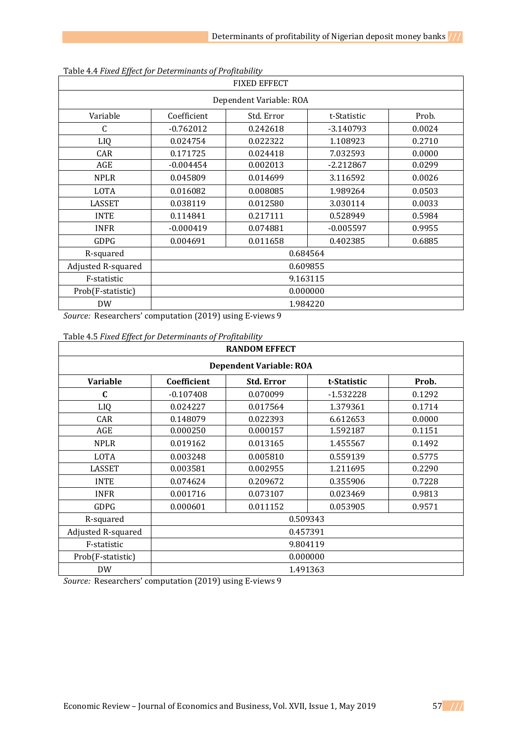| -----------<br><b>FIXED EFFECT</b> |                                                   |          |             |        |  |  |  |  |
|------------------------------------|---------------------------------------------------|----------|-------------|--------|--|--|--|--|
|                                    | Dependent Variable: ROA                           |          |             |        |  |  |  |  |
| Variable                           | Prob.<br>Coefficient<br>Std. Error<br>t-Statistic |          |             |        |  |  |  |  |
| C                                  | $-0.762012$                                       | 0.242618 | $-3.140793$ | 0.0024 |  |  |  |  |
| LIQ                                | 0.024754                                          | 0.022322 | 1.108923    | 0.2710 |  |  |  |  |
| CAR                                | 0.171725                                          | 0.024418 | 7.032593    | 0.0000 |  |  |  |  |
| AGE                                | $-0.004454$                                       | 0.002013 | $-2.212867$ | 0.0299 |  |  |  |  |
| <b>NPLR</b>                        | 0.045809                                          | 0.014699 | 3.116592    | 0.0026 |  |  |  |  |
| <b>LOTA</b>                        | 0.016082                                          | 0.008085 | 1.989264    | 0.0503 |  |  |  |  |
| <b>LASSET</b>                      | 0.038119                                          | 0.012580 | 3.030114    | 0.0033 |  |  |  |  |
| <b>INTE</b>                        | 0.114841                                          | 0.217111 | 0.528949    | 0.5984 |  |  |  |  |
| <b>INFR</b>                        | $-0.000419$                                       | 0.074881 | $-0.005597$ | 0.9955 |  |  |  |  |
| GDPG                               | 0.004691                                          | 0.011658 | 0.402385    | 0.6885 |  |  |  |  |
| R-squared                          | 0.684564                                          |          |             |        |  |  |  |  |
| Adjusted R-squared                 | 0.609855                                          |          |             |        |  |  |  |  |
| F-statistic                        | 9.163115                                          |          |             |        |  |  |  |  |
| Prob(F-statistic)                  | 0.000000                                          |          |             |        |  |  |  |  |
| <b>DW</b>                          |                                                   | 1.984220 |             |        |  |  |  |  |

| Table 4.4 Fixed Effect for Determinants of Profitability |  |  |  |  |
|----------------------------------------------------------|--|--|--|--|
|----------------------------------------------------------|--|--|--|--|

*Source:* Researchers' computation (2019) using E-views 9

| Table 4.5 Fixed Effect for Determinants of Profitability |  |
|----------------------------------------------------------|--|
|                                                          |  |

| <b>RANDOM EFFECT</b> |                                |                                           |             |        |  |  |  |  |
|----------------------|--------------------------------|-------------------------------------------|-------------|--------|--|--|--|--|
|                      | <b>Dependent Variable: ROA</b> |                                           |             |        |  |  |  |  |
| <b>Variable</b>      | Coefficient                    | <b>Std. Error</b><br>Prob.<br>t-Statistic |             |        |  |  |  |  |
| C                    | $-0.107408$                    | 0.070099                                  | $-1.532228$ | 0.1292 |  |  |  |  |
| LIQ                  | 0.024227                       | 0.017564                                  | 1.379361    | 0.1714 |  |  |  |  |
| CAR                  | 0.148079                       | 0.022393                                  | 6.612653    | 0.0000 |  |  |  |  |
| AGE                  | 0.000250                       | 0.000157                                  | 1.592187    | 0.1151 |  |  |  |  |
| <b>NPLR</b>          | 0.019162                       | 0.013165                                  | 1.455567    | 0.1492 |  |  |  |  |
| <b>LOTA</b>          | 0.003248                       | 0.005810                                  | 0.559139    | 0.5775 |  |  |  |  |
| <b>LASSET</b>        | 0.003581                       | 0.002955                                  | 1.211695    | 0.2290 |  |  |  |  |
| <b>INTE</b>          | 0.074624                       | 0.209672                                  | 0.355906    | 0.7228 |  |  |  |  |
| <b>INFR</b>          | 0.001716                       | 0.073107                                  | 0.023469    | 0.9813 |  |  |  |  |
| GDPG                 | 0.000601                       | 0.011152                                  | 0.053905    | 0.9571 |  |  |  |  |
| R-squared            | 0.509343                       |                                           |             |        |  |  |  |  |
| Adjusted R-squared   | 0.457391                       |                                           |             |        |  |  |  |  |
| F-statistic          | 9.804119                       |                                           |             |        |  |  |  |  |
| Prob(F-statistic)    |                                | 0.000000                                  |             |        |  |  |  |  |
| <b>DW</b>            |                                |                                           | 1.491363    |        |  |  |  |  |

*Source:* Researchers' computation (2019) using E-views 9

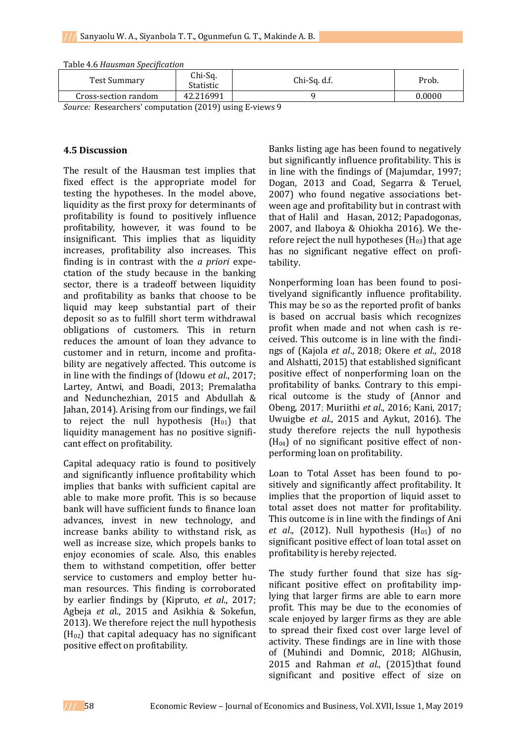| <b>Test Summary</b>            | Chi-Sq.<br>Statistic | Chi-Sq. d.f. | Prob.  |
|--------------------------------|----------------------|--------------|--------|
| Cross-section random           | 42.216991            |              | 0.0000 |
| __<br>$\overline{\phantom{a}}$ |                      | __           |        |

Table 4.6 *Hausman Specification*

*Source:* Researchers' computation (2019) using E-views 9

## **4.5 Discussion**

The result of the Hausman test implies that fixed effect is the appropriate model for testing the hypotheses. In the model above, liquidity as the first proxy for determinants of profitability is found to positively influence profitability, however, it was found to be insignificant. This implies that as liquidity increases, profitability also increases. This finding is in contrast with the *a priori* expectation of the study because in the banking sector, there is a tradeoff between liquidity and profitability as banks that choose to be liquid may keep substantial part of their deposit so as to fulfill short term withdrawal obligations of customers. This in return reduces the amount of loan they advance to customer and in return, income and profitability are negatively affected. This outcome is in line with the findings of (Idowu *et al*., 2017; Lartey, Antwi, and Boadi, 2013; Premalatha and Nedunchezhian, 2015 and Abdullah & Jahan, 2014). Arising from our findings, we fail to reject the null hypothesis  $(H<sub>01</sub>)$  that liquidity management has no positive significant effect on profitability.

Capital adequacy ratio is found to positively and significantly influence profitability which implies that banks with sufficient capital are able to make more profit. This is so because bank will have sufficient funds to finance loan advances, invest in new technology, and increase banks ability to withstand risk, as well as increase size, which propels banks to enjoy economies of scale. Also, this enables them to withstand competition, offer better service to customers and employ better human resources. This finding is corroborated by earlier findings by (Kipruto, *et al*., 2017; Agbeja *et a*l., 2015 and Asikhia & Sokefun, 2013). We therefore reject the null hypothesis  $(H<sub>02</sub>)$  that capital adequacy has no significant positive effect on profitability.

Banks listing age has been found to negatively but significantly influence profitability. This is in line with the findings of (Majumdar, 1997; Dogan, 2013 and Coad, Segarra & Teruel, 2007) who found negative associations between age and profitability but in contrast with that of Halil and Hasan, 2012; Papadogonas, 2007, and Ilaboya & Ohiokha 2016). We therefore reject the null hypotheses  $(H_{03})$  that age has no significant negative effect on profitability.

Nonperforming loan has been found to positivelyand significantly influence profitability. This may be so as the reported profit of banks is based on accrual basis which recognizes profit when made and not when cash is received. This outcome is in line with the findings of (Kajola *et al*., 2018; Okere *et al*., 2018 and Alshatti, 2015) that established significant positive effect of nonperforming loan on the profitability of banks. Contrary to this empirical outcome is the study of (Annor and Obeng, 2017; Muriithi *et al*., 2016; Kani, 2017; Uwuigbe *et al*., 2015 and Aykut, 2016). The study therefore rejects the null hypothesis  $(H<sub>04</sub>)$  of no significant positive effect of nonperforming loan on profitability.

Loan to Total Asset has been found to positively and significantly affect profitability. It implies that the proportion of liquid asset to total asset does not matter for profitability. This outcome is in line with the findings of Ani *et al.*, (2012). Null hypothesis  $(H<sub>05</sub>)$  of no significant positive effect of loan total asset on profitability is hereby rejected.

The study further found that size has significant positive effect on profitability implying that larger firms are able to earn more profit. This may be due to the economies of scale enjoyed by larger firms as they are able to spread their fixed cost over large level of activity. These findings are in line with those of (Muhindi and Domnic, 2018; AlGhusin, 2015 and Rahman *et al*., (2015)that found significant and positive effect of size on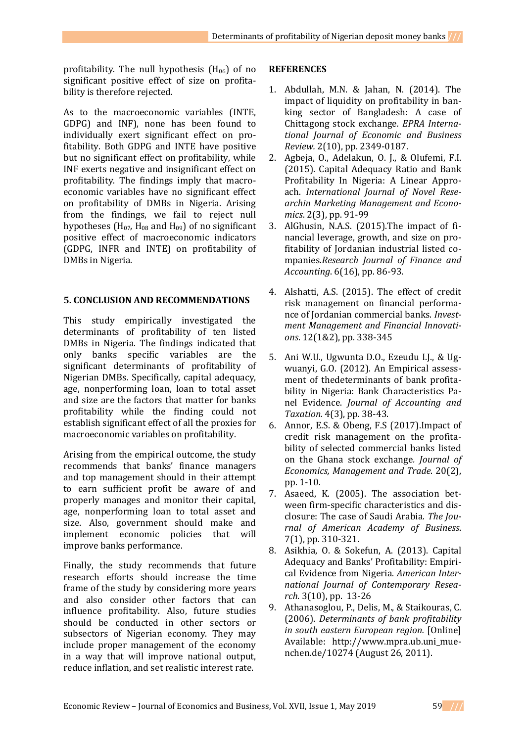profitability. The null hypothesis  $(H_{06})$  of no significant positive effect of size on profitability is therefore rejected.

As to the macroeconomic variables (INTE, GDPG) and INF), none has been found to individually exert significant effect on profitability. Both GDPG and INTE have positive but no significant effect on profitability, while INF exerts negative and insignificant effect on profitability. The findings imply that macroeconomic variables have no significant effect on profitability of DMBs in Nigeria. Arising from the findings, we fail to reject null hypotheses ( $H_{07}$ ,  $H_{08}$  and  $H_{09}$ ) of no significant positive effect of macroeconomic indicators (GDPG, INFR and INTE) on profitability of DMBs in Nigeria.

## **5. CONCLUSION AND RECOMMENDATIONS**

This study empirically investigated the determinants of profitability of ten listed DMBs in Nigeria. The findings indicated that only banks specific variables are the significant determinants of profitability of Nigerian DMBs. Specifically, capital adequacy, age, nonperforming loan, loan to total asset and size are the factors that matter for banks profitability while the finding could not establish significant effect of all the proxies for macroeconomic variables on profitability.

Arising from the empirical outcome, the study recommends that banks' finance managers and top management should in their attempt to earn sufficient profit be aware of and properly manages and monitor their capital, age, nonperforming loan to total asset and size. Also, government should make and implement economic policies that will improve banks performance.

Finally, the study recommends that future research efforts should increase the time frame of the study by considering more years and also consider other factors that can influence profitability. Also, future studies should be conducted in other sectors or subsectors of Nigerian economy. They may include proper management of the economy in a way that will improve national output, reduce inflation, and set realistic interest rate.

## **REFERENCES**

- 1. Abdullah, M.N. & Jahan, N. (2014). The impact of liquidity on profitability in banking sector of Bangladesh: A case of Chittagong stock exchange*. EPRA International Journal of Economic and Business Review.* 2(10), pp. 2349-0187.
- 2. Agbeja, O., Adelakun, O. J., & Olufemi, F.I. (2015). Capital Adequacy Ratio and Bank Profitability In Nigeria: A Linear Approach. *International Journal of Novel Researchin Marketing Management and Economics*. 2(3), pp. 91-99
- 3. AlGhusin, N.A.S. (2015).The impact of financial leverage, growth, and size on profitability of Jordanian industrial listed companies.*Research Journal of Finance and Accounting*. 6(16), pp. 86-93.
- 4. Alshatti, A.S. (2015). The effect of credit risk management on financial performance of Jordanian commercial banks. *Investment Management and Financial Innovations*. 12(1&2), pp. 338-345
- 5. Ani W.U., Ugwunta D.O., Ezeudu I.J., & Ugwuanyi, G.O. (2012). An Empirical assessment of thedeterminants of bank profitability in Nigeria: Bank Characteristics Panel Evidence. *Journal of Accounting and Taxation.* 4(3), pp. 38-43.
- 6. Annor, E.S. & Obeng, F.S (2017).Impact of credit risk management on the profitability of selected commercial banks listed on the Ghana stock exchange*. Journal of Economics, Management and Trade*. 20(2), pp. 1-10.
- 7. Asaeed, K. (2005). The association between firm-specific characteristics and disclosure: The case of Saudi Arabia. *The Journal of American Academy of Business*. 7(1), pp. 310-321.
- 8. Asikhia, O. & Sokefun, A. (2013). Capital Adequacy and Banks' Profitability: Empirical Evidence from Nigeria. *American International Journal of Contemporary Research.* 3(10), pp. 13-26
- 9. Athanasoglou, P., Delis, M., & Staikouras, C. (2006). *Determinants of bank profitability in south eastern European region.* [Online] Available: http://www.mpra.ub.uni\_muenchen.de/10274 (August 26, 2011).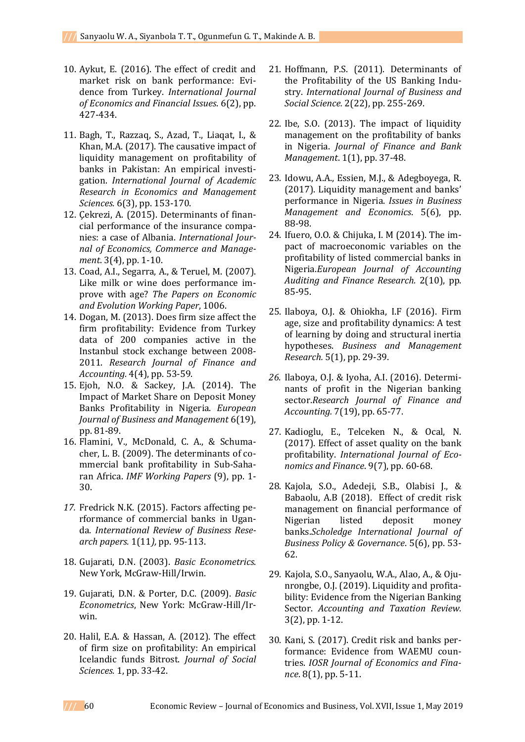- 10. Aykut, E. (2016). The effect of credit and market risk on bank performance: Evidence from Turkey. *International Journal of Economics and Financial Issues*. 6(2), pp. 427-434.
- 11. Bagh, T., Razzaq, S., Azad, T., Liaqat, I., & Khan, M.A. (2017). The causative impact of liquidity management on profitability of banks in Pakistan: An empirical investigation. *International Journal of Academic Research in Economics and Management Sciences.* 6(3), pp. 153-170.
- 12. Çekrezi, A. (2015). Determinants of financial performance of the insurance companies: a case of Albania. *International Journal of Economics, Commerce and Management*. 3(4), pp. 1-10.
- 13. Coad, A.I., Segarra, A., & Teruel, M. (2007). Like milk or wine does performance improve with age? *The Papers on Economic and Evolution Working Paper*, 1006.
- 14. Dogan, M. (2013). Does firm size affect the firm profitability: Evidence from Turkey data of 200 companies active in the Instanbul stock exchange between 2008- 2011. *Research Journal of Finance and Accounting.* 4(4), pp. 53-59.
- 15. Ejoh, N.O. & Sackey, J.A. (2014). The Impact of Market Share on Deposit Money Banks Profitability in Nigeria. *European Journal of Business and Management* 6(19), pp. 81-89.
- 16. Flamini, V., McDonald, C. A., & Schumacher, L. B. (2009). The determinants of commercial bank profitability in Sub-Saharan Africa. *IMF Working Papers* (9), pp. 1- 30.
- *17.* Fredrick N.K. (2015). Factors affecting performance of commercial banks in Uganda. *International Review of Business Research papers.* 1(11*),* pp. 95-113.
- 18. Gujarati, D.N. (2003). *Basic Econometrics*. New York, McGraw-Hill/Irwin.
- 19. Gujarati, D.N. & Porter, D.C. (2009). *Basic Econometrics*, New York: McGraw-Hill/Irwin.
- 20. Halil, E.A. & Hassan, A. (2012). The effect of firm size on profitability: An empirical Icelandic funds Bitrost. *Journal of Social Sciences.* 1, pp. 33-42.
- 21. Hoffmann, P.S. (2011). Determinants of the Profitability of the US Banking Industry. *International Journal of Business and Social Science.* 2(22), pp. 255-269.
- 22. Ibe, S.O. (2013). The impact of liquidity management on the profitability of banks in Nigeria. *Journal of Finance and Bank Management*. 1(1), pp. 37-48.
- 23. Idowu, A.A., Essien, M.J., & Adegboyega, R. (2017). Liquidity management and banks' performance in Nigeria. *Issues in Business Management and Economics*. 5(6), pp. 88-98.
- 24. Ifuero, O.O. & Chijuka, I. M (2014). The impact of macroeconomic variables on the profitability of listed commercial banks in Nigeria.*European Journal of Accounting Auditing and Finance Research.* 2(10), pp. 85-95.
- 25. Ilaboya, O.J. & Ohiokha, I.F (2016). Firm age, size and profitability dynamics: A test of learning by doing and structural inertia hypotheses. *Business and Management Research.* 5(1), pp. 29-39.
- *26.* Ilaboya, O.J. & Iyoha, A.I. (2016). Determinants of profit in the Nigerian banking sector.*Research Journal of Finance and Accounting.* 7(19), pp. 65-77.
- 27. Kadioglu, E., Telceken N., & Ocal, N. (2017). Effect of asset quality on the bank profitability. *International Journal of Economics and Finance*. 9(7), pp. 60-68.
- 28. Kajola, S.O., Adedeji, S.B., Olabisi J., & Babaolu, A.B (2018). Effect of credit risk management on financial performance of Nigerian listed deposit money banks.*Scholedge International Journal of Business Policy & Governance*. 5(6), pp. 53- 62.
- 29. Kajola, S.O., Sanyaolu, W.A., Alao, A., & Ojunrongbe, O.J. (2019). Liquidity and profitability: Evidence from the Nigerian Banking Sector. *Accounting and Taxation Review.*  3(2), pp. 1-12.
- 30. Kani, S. (2017). Credit risk and banks performance: Evidence from WAEMU countries. *IOSR Journal of Economics and Finance*. 8(1), pp. 5-11.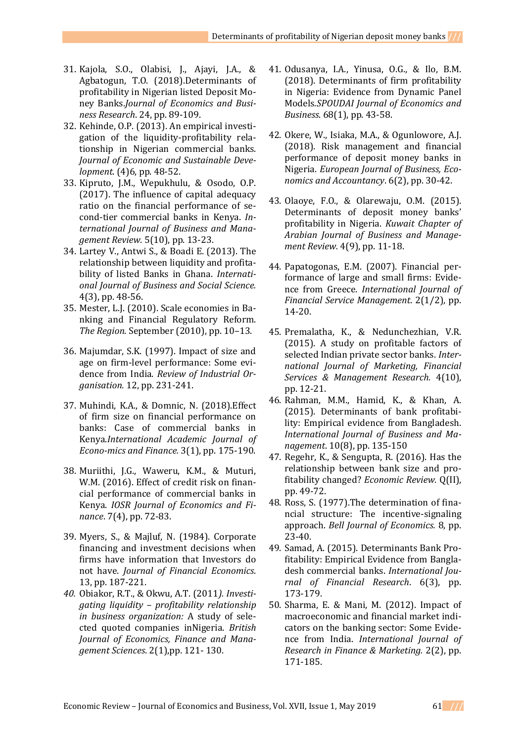- 31. Kajola, S.O., Olabisi, J., Ajayi, J.A., & Agbatogun, T.O. (2018).Determinants of profitability in Nigerian listed Deposit Money Banks.*Journal of Economics and Business Research*. 24, pp. 89-109.
- 32. Kehinde, O.P. (2013). An empirical investigation of the liquidity-profitability relationship in Nigerian commercial banks. *Journal of Economic and Sustainable Development*. (4)6, pp. 48-52.
- 33. Kipruto, J.M., Wepukhulu, & Osodo, O.P. (2017). The influence of capital adequacy ratio on the financial performance of second-tier commercial banks in Kenya. *International Journal of Business and Management Review.* 5(10), pp. 13-23.
- 34. Lartey V., Antwi S., & Boadi E. (2013). The relationship between liquidity and profitability of listed Banks in Ghana. *International Journal of Business and Social Science.*  4(3), pp. 48-56.
- 35. Mester, L.J. (2010). Scale economies in Banking and Financial Regulatory Reform. *The Region*. September (2010), pp. 10–13.
- 36. Majumdar, S.K. (1997). Impact of size and age on firm-level performance: Some evidence from India. *Review of Industrial Organisation.* 12, pp. 231-241.
- 37. Muhindi, K.A., & Domnic, N. (2018).Effect of firm size on financial performance on banks: Case of commercial banks in Kenya.*International Academic Journal of Econo-mics and Finance.* 3(1), pp. 175-190.
- 38. Muriithi, J.G., Waweru, K.M., & Muturi, W.M. (2016). Effect of credit risk on financial performance of commercial banks in Kenya. *IOSR Journal of Economics and Finance*. 7(4), pp. 72-83.
- 39. Myers, S., & Majluf, N. (1984). Corporate financing and investment decisions when firms have information that Investors do not have. *Journal of Financial Economics*. 13, pp. 187-221.
- *40.* Obiakor, R.T., & Okwu, A.T. (2011*). Investigating liquidity – profitability relationship in business organization:* A study of selected quoted companies inNigeria. *British Journal of Economics, Finance and Management Sciences*. 2(1),pp. 121- 130.
- 41. Odusanya, I.A., Yinusa, O.G., & Ilo, B.M. (2018). Determinants of firm profitability in Nigeria: Evidence from Dynamic Panel Models.*SPOUDAI Journal of Economics and Business*. 68(1), pp. 43-58.
- 42. Okere, W., Isiaka, M.A., & Ogunlowore, A.J. (2018). Risk management and financial performance of deposit money banks in Nigeria. *European Journal of Business, Economics and Accountancy*. 6(2), pp. 30-42.
- 43. Olaoye, F.O., & Olarewaju, O.M. (2015). Determinants of deposit money banks' profitability in Nigeria. *Kuwait Chapter of Arabian Journal of Business and Management Review.* 4(9), pp. 11-18.
- 44. Papatogonas, E.M. (2007). Financial performance of large and small firms: Evidence from Greece. *International Journal of Financial Service Management*. 2(1/2), pp. 14-20.
- 45. Premalatha, K., & Nedunchezhian, V.R. (2015). A study on profitable factors of selected Indian private sector banks. *International Journal of Marketing, Financial Services & Management Research.* 4(10), pp. 12-21.
- 46. Rahman, M.M., Hamid, K., & Khan, A. (2015). Determinants of bank profitability: Empirical evidence from Bangladesh. *International Journal of Business and Management*. 10(8), pp. 135-150
- 47. Regehr, K., & Sengupta, R. (2016). Has the relationship between bank size and profitability changed? *Economic Review.* Q(II), pp. 49-72.
- 48. Ross, S. (1977).The determination of financial structure: The incentive-signaling approach. *Bell Journal of Economics.* 8, pp. 23-40.
- 49. Samad, A. (2015). Determinants Bank Profitability: Empirical Evidence from Bangladesh commercial banks. *International Journal of Financial Research*. 6(3), pp. 173-179.
- 50. Sharma, E. & Mani, M. (2012). Impact of macroeconomic and financial market indicators on the banking sector: Some Evidence from India. *International Journal of Research in Finance & Marketing.* 2(2), pp. 171-185.